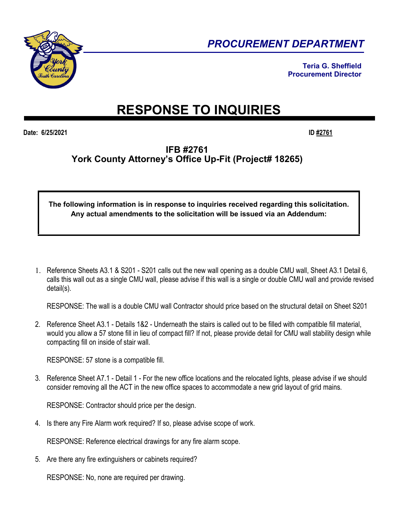

*PROCUREMENT DEPARTMENT* 

**Teria G. Sheffield Procurement Director**

## **RESPONSE TO INQUIRIES**

**Date: 6/25/2021 ID #2761**

## **IFB #2761 York County Attorney's Office Up-Fit (Project# 18265)**

## **The following information is in response to inquiries received regarding this solicitation. Any actual amendments to the solicitation will be issued via an Addendum:**

1. Reference Sheets A3.1 & S201 - S201 calls out the new wall opening as a double CMU wall, Sheet A3.1 Detail 6, calls this wall out as a single CMU wall, please advise if this wall is a single or double CMU wall and provide revised detail(s).

RESPONSE: The wall is a double CMU wall Contractor should price based on the structural detail on Sheet S201

2. Reference Sheet A3.1 - Details 1&2 - Underneath the stairs is called out to be filled with compatible fill material, would you allow a 57 stone fill in lieu of compact fill? If not, please provide detail for CMU wall stability design while compacting fill on inside of stair wall.

RESPONSE: 57 stone is a compatible fill.

3. Reference Sheet A7.1 - Detail 1 - For the new office locations and the relocated lights, please advise if we should consider removing all the ACT in the new office spaces to accommodate a new grid layout of grid mains.

RESPONSE: Contractor should price per the design.

4. Is there any Fire Alarm work required? If so, please advise scope of work.

RESPONSE: Reference electrical drawings for any fire alarm scope.

5. Are there any fire extinguishers or cabinets required?

RESPONSE: No, none are required per drawing.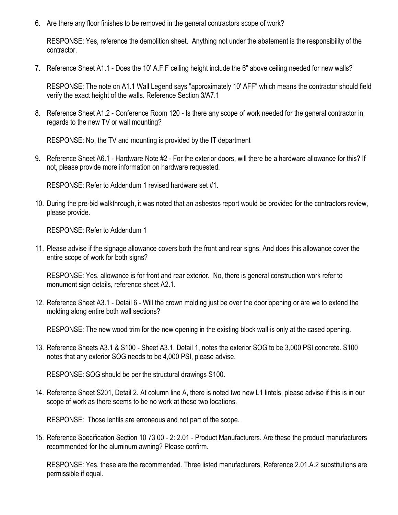6. Are there any floor finishes to be removed in the general contractors scope of work?

RESPONSE: Yes, reference the demolition sheet. Anything not under the abatement is the responsibility of the contractor.

7. Reference Sheet A1.1 - Does the 10' A.F.F ceiling height include the 6" above ceiling needed for new walls?

RESPONSE: The note on A1.1 Wall Legend says "approximately 10' AFF" which means the contractor should field verify the exact height of the walls. Reference Section 3/A7.1

8. Reference Sheet A1.2 - Conference Room 120 - Is there any scope of work needed for the general contractor in regards to the new TV or wall mounting?

RESPONSE: No, the TV and mounting is provided by the IT department

9. Reference Sheet A6.1 - Hardware Note #2 - For the exterior doors, will there be a hardware allowance for this? If not, please provide more information on hardware requested.

RESPONSE: Refer to Addendum 1 revised hardware set #1.

10. During the pre-bid walkthrough, it was noted that an asbestos report would be provided for the contractors review, please provide.

RESPONSE: Refer to Addendum 1

11. Please advise if the signage allowance covers both the front and rear signs. And does this allowance cover the entire scope of work for both signs?

RESPONSE: Yes, allowance is for front and rear exterior. No, there is general construction work refer to monument sign details, reference sheet A2.1.

12. Reference Sheet A3.1 - Detail 6 - Will the crown molding just be over the door opening or are we to extend the molding along entire both wall sections?

RESPONSE: The new wood trim for the new opening in the existing block wall is only at the cased opening.

13. Reference Sheets A3.1 & S100 - Sheet A3.1, Detail 1, notes the exterior SOG to be 3,000 PSI concrete. S100 notes that any exterior SOG needs to be 4,000 PSI, please advise.

RESPONSE: SOG should be per the structural drawings S100.

14. Reference Sheet S201, Detail 2. At column line A, there is noted two new L1 lintels, please advise if this is in our scope of work as there seems to be no work at these two locations.

RESPONSE: Those lentils are erroneous and not part of the scope.

15. Reference Specification Section 10 73 00 - 2: 2.01 - Product Manufacturers. Are these the product manufacturers recommended for the aluminum awning? Please confirm.

RESPONSE: Yes, these are the recommended. Three listed manufacturers, Reference 2.01.A.2 substitutions are permissible if equal.